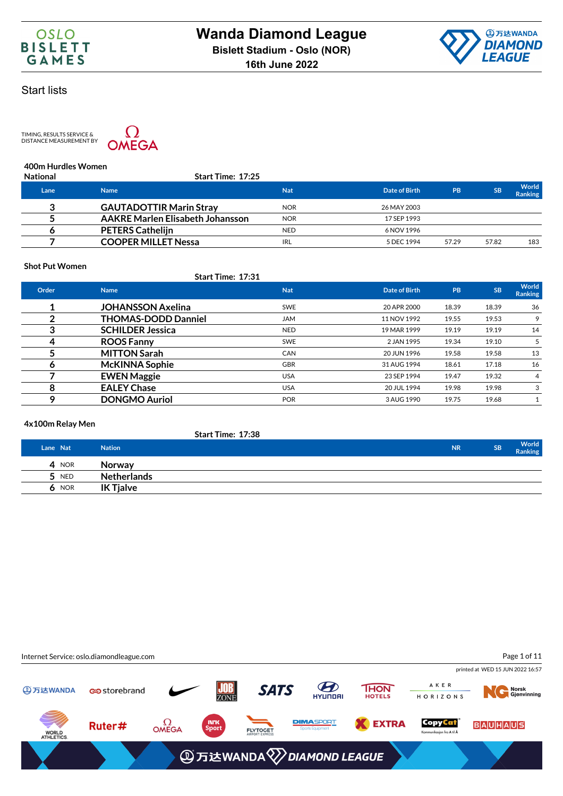

TIMING, RESULTS SERVICE &<br>DISTANCE MEASUREMENT BY



### **400m Hurdles Women**

| <b>National</b> | Start Time: 17:25                       |            |               |           |           |                         |
|-----------------|-----------------------------------------|------------|---------------|-----------|-----------|-------------------------|
| Lane            | <b>Name</b>                             | <b>Nat</b> | Date of Birth | <b>PB</b> | <b>SB</b> | World<br><b>Ranking</b> |
| າ               | <b>GAUTADOTTIR Marin Stray</b>          | <b>NOR</b> | 26 MAY 2003   |           |           |                         |
|                 | <b>AAKRE Marlen Elisabeth Johansson</b> | <b>NOR</b> | 17 SEP 1993   |           |           |                         |
|                 | <b>PETERS Cathelijn</b>                 | <b>NED</b> | 6 NOV 1996    |           |           |                         |
|                 | <b>COOPER MILLET Nessa</b>              | <b>IRL</b> | 5 DEC 1994    | 57.29     | 57.82     | 183                     |

### **Shot Put Women**

### **Start Time: 17:31**

| Order | <b>Name</b>                | <b>Nat</b> | Date of Birth | PB    | <b>SB</b> | World<br><b>Ranking</b> |
|-------|----------------------------|------------|---------------|-------|-----------|-------------------------|
|       | <b>JOHANSSON Axelina</b>   | <b>SWE</b> | 20 APR 2000   | 18.39 | 18.39     | 36                      |
|       | <b>THOMAS-DODD Danniel</b> | <b>JAM</b> | 11 NOV 1992   | 19.55 | 19.53     | 9                       |
|       | <b>SCHILDER Jessica</b>    | <b>NED</b> | 19 MAR 1999   | 19.19 | 19.19     | 14                      |
|       | <b>ROOS Fanny</b>          | <b>SWE</b> | 2 JAN 1995    | 19.34 | 19.10     | 5                       |
|       | <b>MITTON Sarah</b>        | <b>CAN</b> | 20 JUN 1996   | 19.58 | 19.58     | 13                      |
| o     | <b>McKINNA Sophie</b>      | <b>GBR</b> | 31 AUG 1994   | 18.61 | 17.18     | 16                      |
|       | <b>EWEN Maggie</b>         | <b>USA</b> | 23 SEP 1994   | 19.47 | 19.32     | 4                       |
| 8     | <b>EALEY Chase</b>         | <b>USA</b> | 20 JUL 1994   | 19.98 | 19.98     | 3                       |
| Q     | <b>DONGMO Auriol</b>       | <b>POR</b> | 3 AUG 1990    | 19.75 | 19.68     |                         |

### **4x100m Relay Men**

|          | <b>Start Time: 17:38</b> |           |           |                         |
|----------|--------------------------|-----------|-----------|-------------------------|
| Lane Nat | <b>Nation</b>            | <b>NR</b> | <b>SB</b> | World<br><b>Ranking</b> |
| 4 NOR    | <b>Norway</b>            |           |           |                         |
| $5$ NED  | Netherlands              |           |           |                         |
| $6$ NOR  | <b>IK Tjalve</b>         |           |           |                         |

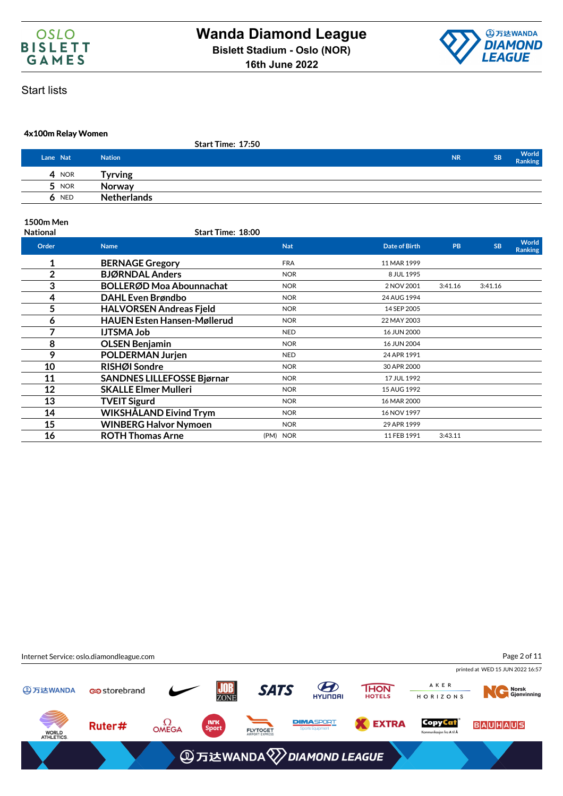



### **4x100m Relay Women**

|          |            | <b>Start Time: 17:50</b> |           |           |                  |
|----------|------------|--------------------------|-----------|-----------|------------------|
| Lane Nat |            | <b>Nation</b>            | <b>NR</b> | <b>SB</b> | World<br>Ranking |
| 4        | <b>NOR</b> | Tyrving                  |           |           |                  |
| 5        | <b>NOR</b> | Norway                   |           |           |                  |
| 6        | <b>NED</b> | <b>Netherlands</b>       |           |           |                  |

### **1500m Men**

| <b>National</b> | Start Time: 18:00                  |            |                      |           |           |                                |
|-----------------|------------------------------------|------------|----------------------|-----------|-----------|--------------------------------|
| Order           | <b>Name</b>                        | <b>Nat</b> | <b>Date of Birth</b> | <b>PB</b> | <b>SB</b> | <b>World</b><br><b>Ranking</b> |
| 1               | <b>BERNAGE Gregory</b>             | <b>FRA</b> | 11 MAR 1999          |           |           |                                |
| $\overline{2}$  | <b>BJØRNDAL Anders</b>             | <b>NOR</b> | 8 JUL 1995           |           |           |                                |
| 3               | <b>BOLLERØD Moa Abounnachat</b>    | <b>NOR</b> | 2 NOV 2001           | 3:41.16   | 3:41.16   |                                |
| 4               | <b>DAHL Even Brøndbo</b>           | <b>NOR</b> | 24 AUG 1994          |           |           |                                |
| 5               | <b>HALVORSEN Andreas Fjeld</b>     | <b>NOR</b> | 14 SEP 2005          |           |           |                                |
| 6               | <b>HAUEN Esten Hansen-Møllerud</b> | <b>NOR</b> | 22 MAY 2003          |           |           |                                |
| 7               | <b>IJTSMA Job</b>                  | <b>NED</b> | 16 JUN 2000          |           |           |                                |
| 8               | <b>OLSEN Benjamin</b>              | <b>NOR</b> | 16 JUN 2004          |           |           |                                |
| 9               | <b>POLDERMAN Jurjen</b>            | <b>NED</b> | 24 APR 1991          |           |           |                                |
| 10              | RISHØI Sondre                      | <b>NOR</b> | 30 APR 2000          |           |           |                                |
| 11              | <b>SANDNES LILLEFOSSE Bjørnar</b>  | <b>NOR</b> | 17 JUL 1992          |           |           |                                |
| 12              | <b>SKALLE Elmer Mulleri</b>        | <b>NOR</b> | 15 AUG 1992          |           |           |                                |
| 13              | <b>TVEIT Sigurd</b>                | <b>NOR</b> | 16 MAR 2000          |           |           |                                |
| 14              | WIKSHÅLAND Eivind Trym             | <b>NOR</b> | 16 NOV 1997          |           |           |                                |
| 15              | <b>WINBERG Halvor Nymoen</b>       | <b>NOR</b> | 29 APR 1999          |           |           |                                |
| 16              | <b>ROTH Thomas Arne</b>            | (PM) NOR   | 11 FEB 1991          | 3:43.11   |           |                                |

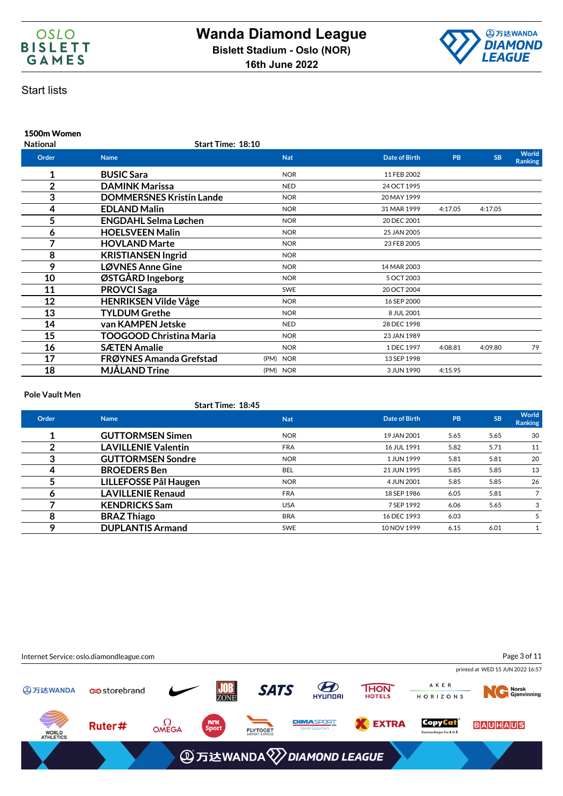



### **1500m Women National Start Time: 18:10 Order Name Nat Date of Birth PB SB World Ranking 1 BUSIC Sara BUSIC Sara NOR 11 FEB 2002 2 DAMINK Marissa** NED 24 OCT 1995 **3 DOMMERSNES Kristin Lande** NOR NOR 20 MAY 1999 **4 EDLAND Malin NOR 117.05 4:17.05 4:17.05 5 ENGDAHL Selma Løchen NOR** NOR 20 DEC 2001 **6 HOELSVEEN Malin** NOR NOR 25 JAN 2005 **7 HOVLAND Marte NOR** NOR 23 FEB 2005 **8 KRISTIANSEN Ingrid** NOR **9 LØVNES Anne Gine** NOR NOR 14 MAR 2003 **10 ØSTGÅRD Ingeborg** NOR 5 OCT 2003 **11 PROVCI Saga** SWE 20 OCT 2004 **12 HENRIKSEN Vilde Våge** NOR NOR 16 SEP 2000 **13 TYLDUM Grethe NOR** NOR 8 JUL 2001 **14 van KAMPEN Jetske NED** NED 28 DEC 1998 **15 TOOGOOD Christina Maria** NOR NOR 23 JAN 1989 **16 SÆTEN Amalie NOR** 1DEC 1997 4:08.81 4:09.80 79 **17 FRØYNES Amanda Grefstad** (PM) NOR 13 SEP 1998 **18 MJÅLAND Trine** (PM) NOR 3JUN 1990 4:15.95

#### **Pole Vault Men**

#### **Start Time: 18:45**

| Order | <b>Name</b>                | <b>Nat</b> | Date of Birth | <b>PB</b> | <b>SB</b> | <b>World</b><br><b>Ranking</b> |
|-------|----------------------------|------------|---------------|-----------|-----------|--------------------------------|
|       | <b>GUTTORMSEN Simen</b>    | <b>NOR</b> | 19 JAN 2001   | 5.65      | 5.65      | 30                             |
|       | <b>LAVILLENIE Valentin</b> | <b>FRA</b> | 16 JUL 1991   | 5.82      | 5.71      | 11                             |
|       | <b>GUTTORMSEN Sondre</b>   | <b>NOR</b> | 1 JUN 1999    | 5.81      | 5.81      | 20                             |
|       | <b>BROEDERS</b> Ben        | <b>BEL</b> | 21 JUN 1995   | 5.85      | 5.85      | 13                             |
|       | LILLEFOSSE Pål Haugen      | <b>NOR</b> | 4 JUN 2001    | 5.85      | 5.85      | 26                             |
| O     | <b>LAVILLENIE Renaud</b>   | <b>FRA</b> | 18 SEP 1986   | 6.05      | 5.81      |                                |
|       | <b>KENDRICKS Sam</b>       | <b>USA</b> | 7 SEP 1992    | 6.06      | 5.65      | 3                              |
| 8     | <b>BRAZ Thiago</b>         | <b>BRA</b> | 16 DEC 1993   | 6.03      |           |                                |
| o     | <b>DUPLANTIS Armand</b>    | <b>SWE</b> | 10 NOV 1999   | 6.15      | 6.01      |                                |

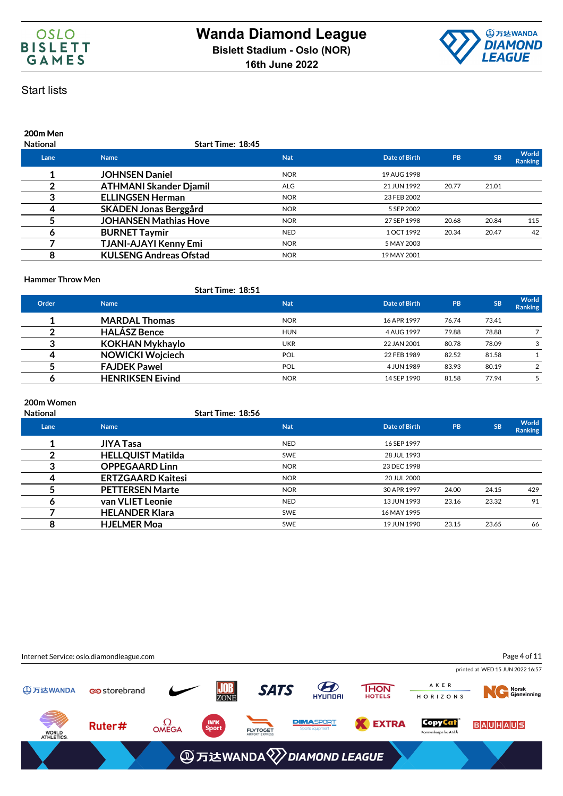



# **200m Men**

| <b>National</b> | Start Time: 18:45             |            |               |           |           |                         |
|-----------------|-------------------------------|------------|---------------|-----------|-----------|-------------------------|
| Lane            | <b>Name</b>                   | <b>Nat</b> | Date of Birth | <b>PB</b> | <b>SB</b> | World<br><b>Ranking</b> |
|                 | <b>JOHNSEN Daniel</b>         | <b>NOR</b> | 19 AUG 1998   |           |           |                         |
|                 | <b>ATHMANI Skander Djamil</b> | <b>ALG</b> | 21 JUN 1992   | 20.77     | 21.01     |                         |
| 3               | <b>ELLINGSEN Herman</b>       | <b>NOR</b> | 23 FEB 2002   |           |           |                         |
| 4               | SKÅDEN Jonas Berggård         | <b>NOR</b> | 5 SEP 2002    |           |           |                         |
|                 | <b>JOHANSEN Mathias Hove</b>  | <b>NOR</b> | 27 SEP 1998   | 20.68     | 20.84     | 115                     |
|                 | <b>BURNET Taymir</b>          | <b>NED</b> | 1 OCT 1992    | 20.34     | 20.47     | 42                      |
|                 | <b>TJANI-AJAYI Kenny Emi</b>  | <b>NOR</b> | 5 MAY 2003    |           |           |                         |
| 8               | <b>KULSENG Andreas Ofstad</b> | <b>NOR</b> | 19 MAY 2001   |           |           |                         |
|                 |                               |            |               |           |           |                         |

### **Hammer Throw Men**

|       |                         | <b>Start Time: 18:51</b> |               |           |           |                                |
|-------|-------------------------|--------------------------|---------------|-----------|-----------|--------------------------------|
| Order | <b>Name</b>             | <b>Nat</b>               | Date of Birth | <b>PB</b> | <b>SB</b> | <b>World</b><br><b>Ranking</b> |
|       | <b>MARDAL Thomas</b>    | <b>NOR</b>               | 16 APR 1997   | 76.74     | 73.41     |                                |
|       | <b>HALÁSZ Bence</b>     | <b>HUN</b>               | 4 AUG 1997    | 79.88     | 78.88     |                                |
|       | <b>KOKHAN Mykhaylo</b>  | <b>UKR</b>               | 22 JAN 2001   | 80.78     | 78.09     | 3                              |
|       | <b>NOWICKI Wojciech</b> | <b>POL</b>               | 22 FEB 1989   | 82.52     | 81.58     |                                |
|       | <b>FAJDEK Pawel</b>     | POL                      | 4 JUN 1989    | 83.93     | 80.19     | 2                              |
|       | <b>HENRIKSEN Eivind</b> | <b>NOR</b>               | 14 SEP 1990   | 81.58     | 77.94     |                                |

### **200m Women**

| <b>National</b> | <b>Start Time: 18:56</b> |            |               |           |           |                  |
|-----------------|--------------------------|------------|---------------|-----------|-----------|------------------|
| Lane            | <b>Name</b>              | <b>Nat</b> | Date of Birth | <b>PB</b> | <b>SB</b> | World<br>Ranking |
|                 | <b>JIYA Tasa</b>         | <b>NED</b> | 16 SEP 1997   |           |           |                  |
|                 | <b>HELLQUIST Matilda</b> | <b>SWE</b> | 28 JUL 1993   |           |           |                  |
|                 | <b>OPPEGAARD Linn</b>    | <b>NOR</b> | 23 DEC 1998   |           |           |                  |
|                 | <b>ERTZGAARD Kaitesi</b> | <b>NOR</b> | 20 JUL 2000   |           |           |                  |
|                 | <b>PETTERSEN Marte</b>   | <b>NOR</b> | 30 APR 1997   | 24.00     | 24.15     | 429              |
|                 | van VLIET Leonie         | <b>NED</b> | 13 JUN 1993   | 23.16     | 23.32     | 91               |
|                 | <b>HELANDER Klara</b>    | <b>SWE</b> | 16 MAY 1995   |           |           |                  |
| 8               | <b>HJELMER Moa</b>       | <b>SWE</b> | 19 JUN 1990   | 23.15     | 23.65     | 66               |

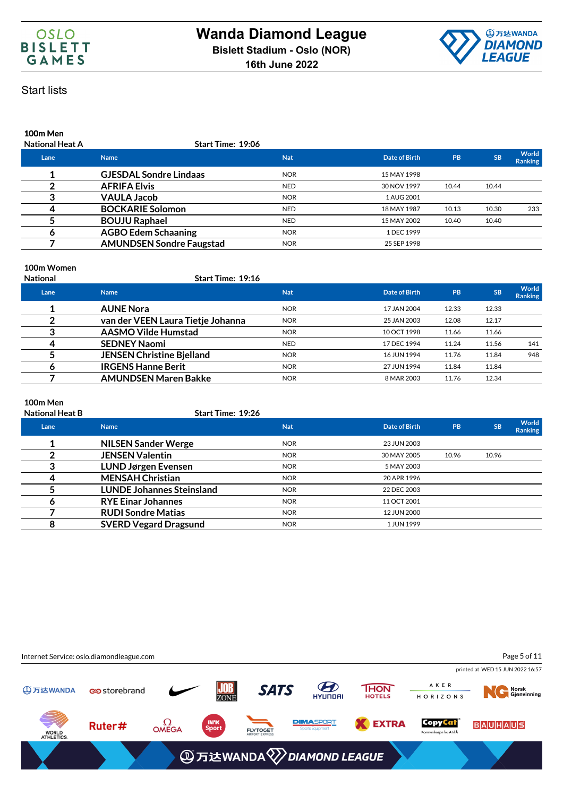



# **100m Men**

| <b>National Heat A</b> | Start Time: 19:06               |            |               |           |           |                  |
|------------------------|---------------------------------|------------|---------------|-----------|-----------|------------------|
| Lane                   | <b>Name</b>                     | <b>Nat</b> | Date of Birth | <b>PB</b> | <b>SB</b> | World<br>Ranking |
|                        | <b>GJESDAL Sondre Lindaas</b>   | <b>NOR</b> | 15 MAY 1998   |           |           |                  |
|                        | <b>AFRIFA Elvis</b>             | <b>NED</b> | 30 NOV 1997   | 10.44     | 10.44     |                  |
| 3                      | <b>VAULA Jacob</b>              | <b>NOR</b> | 1 AUG 2001    |           |           |                  |
|                        | <b>BOCKARIE Solomon</b>         | <b>NED</b> | 18 MAY 1987   | 10.13     | 10.30     | 233              |
|                        | <b>BOUJU Raphael</b>            | <b>NED</b> | 15 MAY 2002   | 10.40     | 10.40     |                  |
|                        | <b>AGBO Edem Schaaning</b>      | <b>NOR</b> | 1 DEC 1999    |           |           |                  |
|                        | <b>AMUNDSEN Sondre Faugstad</b> | <b>NOR</b> | 25 SEP 1998   |           |           |                  |

### **100m Women**

### **National Start Time: 19:16**

| Lane | <b>Name</b>                       | <b>Nat</b> | Date of Birth | PB    | <b>SB</b> | World<br><b>Ranking</b> |
|------|-----------------------------------|------------|---------------|-------|-----------|-------------------------|
|      | <b>AUNE Nora</b>                  | <b>NOR</b> | 17 JAN 2004   | 12.33 | 12.33     |                         |
|      | van der VEEN Laura Tietje Johanna | <b>NOR</b> | 25 JAN 2003   | 12.08 | 12.17     |                         |
|      | <b>AASMO Vilde Humstad</b>        | <b>NOR</b> | 10 OCT 1998   | 11.66 | 11.66     |                         |
|      | <b>SEDNEY Naomi</b>               | <b>NED</b> | 17 DEC 1994   | 11.24 | 11.56     | 141                     |
|      | <b>JENSEN Christine Bjelland</b>  | <b>NOR</b> | 16 JUN 1994   | 11.76 | 11.84     | 948                     |
|      | <b>IRGENS Hanne Berit</b>         | <b>NOR</b> | 27 JUN 1994   | 11.84 | 11.84     |                         |
|      | <b>AMUNDSEN Maren Bakke</b>       | <b>NOR</b> | 8 MAR 2003    | 11.76 | 12.34     |                         |

### **100m Men**

| <b>National Heat B</b> | <b>Start Time: 19:26</b>         |            |               |           |           |                                |
|------------------------|----------------------------------|------------|---------------|-----------|-----------|--------------------------------|
| Lane                   | <b>Name</b>                      | <b>Nat</b> | Date of Birth | <b>PB</b> | <b>SB</b> | <b>World</b><br><b>Ranking</b> |
|                        | <b>NILSEN Sander Werge</b>       | <b>NOR</b> | 23 JUN 2003   |           |           |                                |
|                        | <b>JENSEN Valentin</b>           | <b>NOR</b> | 30 MAY 2005   | 10.96     | 10.96     |                                |
|                        | <b>LUND Jørgen Evensen</b>       | <b>NOR</b> | 5 MAY 2003    |           |           |                                |
|                        | <b>MENSAH Christian</b>          | <b>NOR</b> | 20 APR 1996   |           |           |                                |
|                        | <b>LUNDE Johannes Steinsland</b> | <b>NOR</b> | 22 DEC 2003   |           |           |                                |
|                        | <b>RYE Einar Johannes</b>        | <b>NOR</b> | 11 OCT 2001   |           |           |                                |
|                        | <b>RUDI Sondre Matias</b>        | <b>NOR</b> | 12 JUN 2000   |           |           |                                |
| 8                      | <b>SVERD Vegard Dragsund</b>     | <b>NOR</b> | 1 JUN 1999    |           |           |                                |

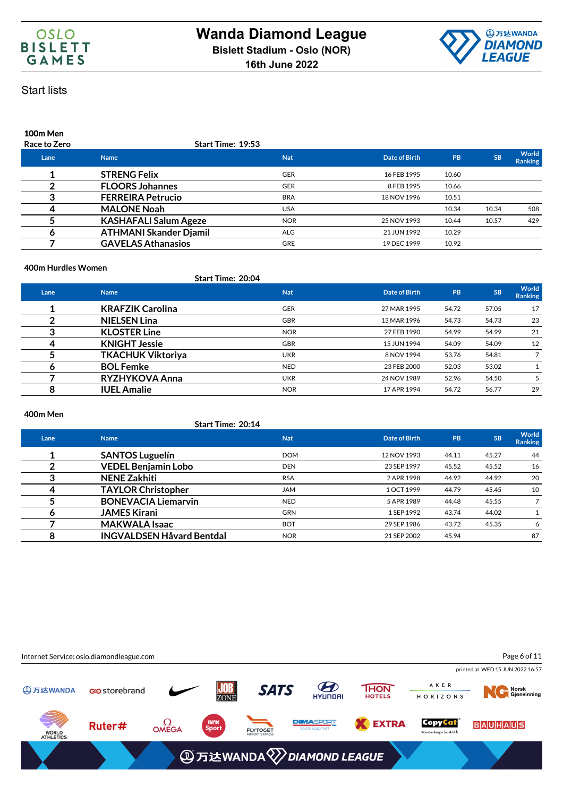



# **100m Men**

| <b>Race to Zero</b> | <b>Start Time: 19:53</b>      |            |                      |           |           |                                |
|---------------------|-------------------------------|------------|----------------------|-----------|-----------|--------------------------------|
| Lane                | <b>Name</b>                   | <b>Nat</b> | <b>Date of Birth</b> | <b>PB</b> | <b>SB</b> | <b>World</b><br><b>Ranking</b> |
|                     | <b>STRENG Felix</b>           | <b>GER</b> | 16 FEB 1995          | 10.60     |           |                                |
|                     | <b>FLOORS Johannes</b>        | <b>GER</b> | 8 FEB 1995           | 10.66     |           |                                |
|                     | <b>FERREIRA Petrucio</b>      | <b>BRA</b> | 18 NOV 1996          | 10.51     |           |                                |
| 4                   | <b>MALONE Noah</b>            | <b>USA</b> |                      | 10.34     | 10.34     | 508                            |
|                     | <b>KASHAFALI Salum Ageze</b>  | <b>NOR</b> | 25 NOV 1993          | 10.44     | 10.57     | 429                            |
|                     | <b>ATHMANI Skander Djamil</b> | <b>ALG</b> | 21 JUN 1992          | 10.29     |           |                                |
|                     | <b>GAVELAS Athanasios</b>     | <b>GRE</b> | 19 DEC 1999          | 10.92     |           |                                |
|                     |                               |            |                      |           |           |                                |

### **400m Hurdles Women**

### **Start Time: 20:04**

| Lane | <b>Name</b>              | <b>Nat</b> | Date of Birth | PB    | <b>SB</b> | <b>World</b><br>Ranking |
|------|--------------------------|------------|---------------|-------|-----------|-------------------------|
|      | <b>KRAFZIK Carolina</b>  | <b>GER</b> | 27 MAR 1995   | 54.72 | 57.05     | 17                      |
|      | <b>NIELSEN Lina</b>      | <b>GBR</b> | 13 MAR 1996   | 54.73 | 54.73     | 23                      |
|      | <b>KLOSTER Line</b>      | <b>NOR</b> | 27 FEB 1990   | 54.99 | 54.99     | 21                      |
| 4    | <b>KNIGHT Jessie</b>     | <b>GBR</b> | 15 JUN 1994   | 54.09 | 54.09     | 12                      |
|      | <b>TKACHUK Viktoriya</b> | <b>UKR</b> | 8 NOV 1994    | 53.76 | 54.81     |                         |
|      | <b>BOL Femke</b>         | <b>NED</b> | 23 FEB 2000   | 52.03 | 53.02     |                         |
|      | RYZHYKOVA Anna           | <b>UKR</b> | 24 NOV 1989   | 52.96 | 54.50     |                         |
| 8    | <b>IUEL Amalie</b>       | <b>NOR</b> | 17 APR 1994   | 54.72 | 56.77     | 29                      |

### **400m Men**

### **Start Time: 20:14**

| Lane | <b>Name</b>                      | <b>Nat</b> | Date of Birth | <b>PB</b> | <b>SB</b> | World<br><b>Ranking</b> |
|------|----------------------------------|------------|---------------|-----------|-----------|-------------------------|
|      | <b>SANTOS Luguelín</b>           | <b>DOM</b> | 12 NOV 1993   | 44.11     | 45.27     | 44                      |
|      | <b>VEDEL Benjamin Lobo</b>       | <b>DEN</b> | 23 SEP 1997   | 45.52     | 45.52     | 16                      |
|      | <b>NENE Zakhiti</b>              | <b>RSA</b> | 2 APR 1998    | 44.92     | 44.92     | 20                      |
|      | <b>TAYLOR Christopher</b>        | <b>JAM</b> | 1 OCT 1999    | 44.79     | 45.45     | 10                      |
|      | <b>BONEVACIA Liemarvin</b>       | <b>NED</b> | 5 APR 1989    | 44.48     | 45.55     |                         |
| o    | <b>JAMES Kirani</b>              | <b>GRN</b> | 1 SEP 1992    | 43.74     | 44.02     |                         |
|      | <b>MAKWALA Isaac</b>             | <b>BOT</b> | 29 SEP 1986   | 43.72     | 45.35     | 6                       |
| 8    | <b>INGVALDSEN Håvard Bentdal</b> | <b>NOR</b> | 21 SEP 2002   | 45.94     |           | 87                      |

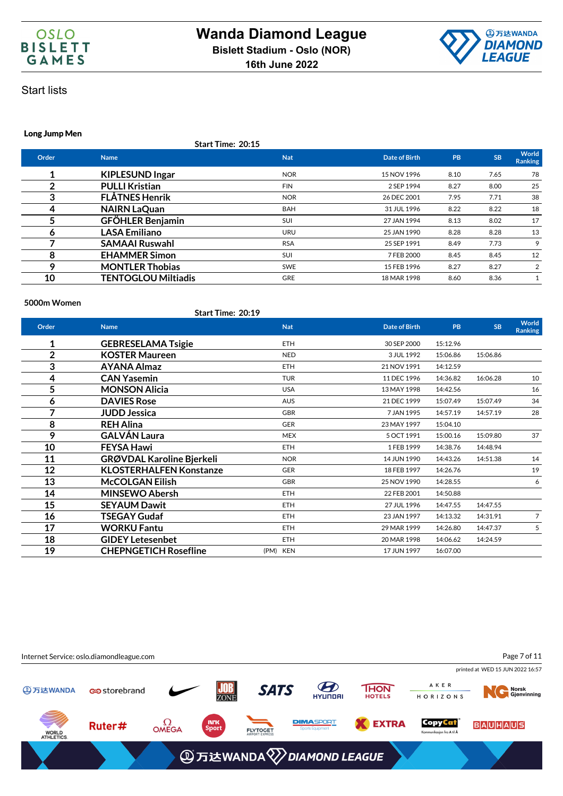



### **Long Jump Men**

**Start Time: 20:15**

| Order | <b>Name</b>                | <b>Nat</b> | Date of Birth | PB   | <b>SB</b> | World<br><b>Ranking</b> |
|-------|----------------------------|------------|---------------|------|-----------|-------------------------|
|       | <b>KIPLESUND Ingar</b>     | <b>NOR</b> | 15 NOV 1996   | 8.10 | 7.65      | 78                      |
| າ     | <b>PULLI Kristian</b>      | <b>FIN</b> | 2 SEP 1994    | 8.27 | 8.00      | 25                      |
| 3     | <b>FLÅTNES Henrik</b>      | <b>NOR</b> | 26 DEC 2001   | 7.95 | 7.71      | 38                      |
| 4     | <b>NAIRN LaQuan</b>        | <b>BAH</b> | 31 JUL 1996   | 8.22 | 8.22      | 18                      |
| 5     | <b>GFÖHLER Benjamin</b>    | <b>SUI</b> | 27 JAN 1994   | 8.13 | 8.02      | 17                      |
| 6     | <b>LASA Emiliano</b>       | <b>URU</b> | 25 JAN 1990   | 8.28 | 8.28      | 13                      |
|       | <b>SAMAAI Ruswahl</b>      | <b>RSA</b> | 25 SEP 1991   | 8.49 | 7.73      | 9                       |
| 8     | <b>EHAMMER Simon</b>       | <b>SUI</b> | 7 FEB 2000    | 8.45 | 8.45      | 12                      |
| 9     | <b>MONTLER Thobias</b>     | <b>SWE</b> | 15 FEB 1996   | 8.27 | 8.27      | 2                       |
| 10    | <b>TENTOGLOU Miltiadis</b> | <b>GRE</b> | 18 MAR 1998   | 8.60 | 8.36      |                         |
|       |                            |            |               |      |           |                         |

#### **5000m Women**

**Start Time: 20:19**

| Order        | <b>Name</b>                      | <b>Nat</b> | <b>Date of Birth</b> | <b>PB</b> | <b>SB</b> | World<br>Ranking |
|--------------|----------------------------------|------------|----------------------|-----------|-----------|------------------|
| 1            | <b>GEBRESELAMA Tsigie</b>        | ETH        | 30 SEP 2000          | 15:12.96  |           |                  |
| $\mathbf{2}$ | <b>KOSTER Maureen</b>            | <b>NED</b> | 3 JUL 1992           | 15:06.86  | 15:06.86  |                  |
| 3            | <b>AYANA Almaz</b>               | <b>ETH</b> | 21 NOV 1991          | 14:12.59  |           |                  |
| 4            | <b>CAN Yasemin</b>               | <b>TUR</b> | 11 DEC 1996          | 14:36.82  | 16:06.28  | 10               |
| 5            | <b>MONSON Alicia</b>             | <b>USA</b> | 13 MAY 1998          | 14:42.56  |           | 16               |
| 6            | <b>DAVIES Rose</b>               | <b>AUS</b> | 21 DEC 1999          | 15:07.49  | 15:07.49  | 34               |
| 7            | <b>JUDD Jessica</b>              | <b>GBR</b> | 7 JAN 1995           | 14:57.19  | 14:57.19  | 28               |
| 8            | <b>REH Alina</b>                 | <b>GER</b> | 23 MAY 1997          | 15:04.10  |           |                  |
| 9            | <b>GALVÁN Laura</b>              | <b>MEX</b> | 5 OCT 1991           | 15:00.16  | 15:09.80  | 37               |
| 10           | <b>FEYSA Hawi</b>                | <b>ETH</b> | 1 FEB 1999           | 14:38.76  | 14:48.94  |                  |
| 11           | <b>GRØVDAL Karoline Bjerkeli</b> | <b>NOR</b> | 14 JUN 1990          | 14:43.26  | 14:51.38  | 14               |
| 12           | <b>KLOSTERHALFEN Konstanze</b>   | GER        | 18 FEB 1997          | 14:26.76  |           | 19               |
| 13           | <b>McCOLGAN Eilish</b>           | <b>GBR</b> | 25 NOV 1990          | 14:28.55  |           | 6                |
| 14           | <b>MINSEWO Abersh</b>            | <b>ETH</b> | 22 FEB 2001          | 14:50.88  |           |                  |
| 15           | <b>SEYAUM Dawit</b>              | <b>ETH</b> | 27 JUL 1996          | 14:47.55  | 14:47.55  |                  |
| 16           | <b>TSEGAY Gudaf</b>              | <b>ETH</b> | 23 JAN 1997          | 14:13.32  | 14:31.91  | $\overline{7}$   |
| 17           | <b>WORKU Fantu</b>               | <b>ETH</b> | 29 MAR 1999          | 14:26.80  | 14:47.37  | 5                |
| 18           | <b>GIDEY Letesenbet</b>          | ETH        | 20 MAR 1998          | 14:06.62  | 14:24.59  |                  |
| 19           | <b>CHEPNGETICH Rosefline</b>     | (PM) KEN   | 17 JUN 1997          | 16:07.00  |           |                  |

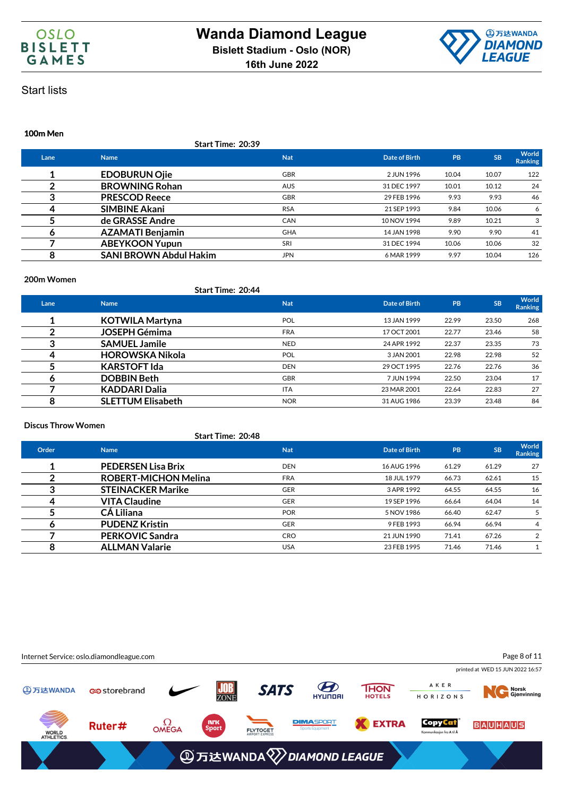



### **100m Men**

|      | Start Time: 20:39             |            |               |       |           |                         |
|------|-------------------------------|------------|---------------|-------|-----------|-------------------------|
| Lane | <b>Name</b>                   | <b>Nat</b> | Date of Birth | PB    | <b>SB</b> | World<br><b>Ranking</b> |
|      | <b>EDOBURUN Ojie</b>          | <b>GBR</b> | 2 JUN 1996    | 10.04 | 10.07     | 122                     |
|      | <b>BROWNING Rohan</b>         | <b>AUS</b> | 31 DEC 1997   | 10.01 | 10.12     | 24                      |
| 3    | <b>PRESCOD Reece</b>          | <b>GBR</b> | 29 FEB 1996   | 9.93  | 9.93      | 46                      |
| 4    | <b>SIMBINE Akani</b>          | <b>RSA</b> | 21 SEP 1993   | 9.84  | 10.06     | 6                       |
|      | de GRASSE Andre               | <b>CAN</b> | 10 NOV 1994   | 9.89  | 10.21     | 3                       |
| 6    | <b>AZAMATI Benjamin</b>       | <b>GHA</b> | 14 JAN 1998   | 9.90  | 9.90      | 41                      |
|      | <b>ABEYKOON Yupun</b>         | SRI        | 31 DEC 1994   | 10.06 | 10.06     | 32                      |
| 8    | <b>SANI BROWN Abdul Hakim</b> | <b>JPN</b> | 6 MAR 1999    | 9.97  | 10.04     | 126                     |
|      |                               |            |               |       |           |                         |

### **200m Women**

|      |                          | <b>Start Time: 20:44</b> |               |       |           |                         |
|------|--------------------------|--------------------------|---------------|-------|-----------|-------------------------|
| Lane | <b>Name</b>              | <b>Nat</b>               | Date of Birth | PB    | <b>SB</b> | World<br><b>Ranking</b> |
|      | <b>KOTWILA Martyna</b>   | <b>POL</b>               | 13 JAN 1999   | 22.99 | 23.50     | 268                     |
|      | <b>JOSEPH Gémima</b>     | <b>FRA</b>               | 17 OCT 2001   | 22.77 | 23.46     | 58                      |
|      | <b>SAMUEL Jamile</b>     | <b>NED</b>               | 24 APR 1992   | 22.37 | 23.35     | 73                      |
|      | <b>HOROWSKA Nikola</b>   | <b>POL</b>               | 3 JAN 2001    | 22.98 | 22.98     | 52                      |
|      | <b>KARSTOFT Ida</b>      | <b>DEN</b>               | 29 OCT 1995   | 22.76 | 22.76     | 36                      |
| o    | <b>DOBBIN Beth</b>       | <b>GBR</b>               | 7 JUN 1994    | 22.50 | 23.04     | 17                      |
|      | <b>KADDARI Dalia</b>     | <b>ITA</b>               | 23 MAR 2001   | 22.64 | 22.83     | 27                      |
| 8    | <b>SLETTUM Elisabeth</b> | <b>NOR</b>               | 31 AUG 1986   | 23.39 | 23.48     | 84                      |

### **Discus Throw Women**

|       | <b>Start Time: 20:48</b>    |            |               |       |           |                         |
|-------|-----------------------------|------------|---------------|-------|-----------|-------------------------|
| Order | <b>Name</b>                 | <b>Nat</b> | Date of Birth | PB    | <b>SB</b> | World<br><b>Ranking</b> |
|       | <b>PEDERSEN Lisa Brix</b>   | <b>DEN</b> | 16 AUG 1996   | 61.29 | 61.29     | 27                      |
|       | <b>ROBERT-MICHON Melina</b> | <b>FRA</b> | 18 JUL 1979   | 66.73 | 62.61     | 15                      |
| 3     | <b>STEINACKER Marike</b>    | <b>GER</b> | 3 APR 1992    | 64.55 | 64.55     | 16                      |
| 4     | <b>VITA Claudine</b>        | <b>GER</b> | 19 SEP 1996   | 66.64 | 64.04     | 14                      |
|       | <b>CÁ Liliana</b>           | <b>POR</b> | 5 NOV 1986    | 66.40 | 62.47     | 5                       |
| o     | <b>PUDENZ Kristin</b>       | <b>GER</b> | 9 FEB 1993    | 66.94 | 66.94     | 4                       |
|       | <b>PERKOVIC Sandra</b>      | <b>CRO</b> | 21 JUN 1990   | 71.41 | 67.26     | 2                       |
| 8     | <b>ALLMAN Valarie</b>       | <b>USA</b> | 23 FEB 1995   | 71.46 | 71.46     |                         |
|       |                             |            |               |       |           |                         |

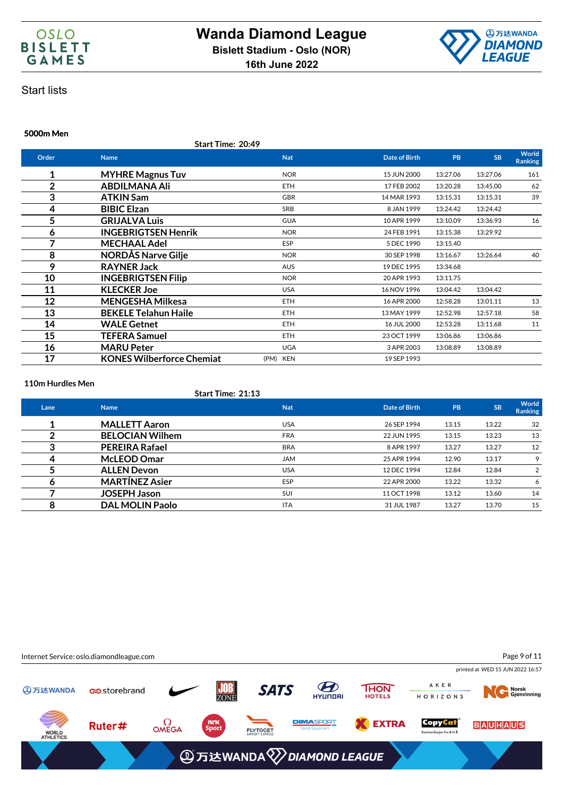



### **5000m Men**

**Start Time: 20:49**

| Order          | <b>Name</b>                      | <b>Nat</b> | <b>Date of Birth</b> | <b>PB</b> | <b>SB</b> | World<br><b>Ranking</b> |
|----------------|----------------------------------|------------|----------------------|-----------|-----------|-------------------------|
| 1              | <b>MYHRE Magnus Tuv</b>          | <b>NOR</b> | 15 JUN 2000          | 13:27.06  | 13:27.06  | 161                     |
| $\overline{2}$ | ABDILMANA Ali                    | <b>ETH</b> | 17 FEB 2002          | 13:20.28  | 13:45.00  | 62                      |
| 3              | ATKIN Sam                        | <b>GBR</b> | 14 MAR 1993          | 13:15.31  | 13:15.31  | 39                      |
| 4              | <b>BIBIC Elzan</b>               | SRB        | 8 JAN 1999           | 13:24.42  | 13:24.42  |                         |
| 5              | <b>GRIJALVA Luis</b>             | <b>GUA</b> | 10 APR 1999          | 13:10.09  | 13:36.93  | 16                      |
| 6              | <b>INGEBRIGTSEN Henrik</b>       | <b>NOR</b> | 24 FEB 1991          | 13:15.38  | 13:29.92  |                         |
| 7              | <b>MECHAAL Adel</b>              | ESP        | 5 DEC 1990           | 13:15.40  |           |                         |
| 8              | <b>NORDÅS Narve Gilje</b>        | <b>NOR</b> | 30 SEP 1998          | 13:16.67  | 13:26.64  | 40                      |
| 9              | <b>RAYNER Jack</b>               | <b>AUS</b> | 19 DEC 1995          | 13:34.68  |           |                         |
| 10             | <b>INGEBRIGTSEN Filip</b>        | <b>NOR</b> | 20 APR 1993          | 13:11.75  |           |                         |
| 11             | <b>KLECKER Joe</b>               | <b>USA</b> | 16 NOV 1996          | 13:04.42  | 13:04.42  |                         |
| 12             | <b>MENGESHA Milkesa</b>          | <b>ETH</b> | 16 APR 2000          | 12:58.28  | 13:01.11  | 13                      |
| 13             | <b>BEKELE Telahun Haile</b>      | <b>ETH</b> | 13 MAY 1999          | 12:52.98  | 12:57.18  | 58                      |
| 14             | <b>WALE Getnet</b>               | <b>ETH</b> | 16 JUL 2000          | 12:53.28  | 13:11.68  | 11                      |
| 15             | <b>TEFERA Samuel</b>             | <b>ETH</b> | 23 OCT 1999          | 13:06.86  | 13:06.86  |                         |
| 16             | <b>MARU Peter</b>                | <b>UGA</b> | 3 APR 2003           | 13:08.89  | 13:08.89  |                         |
| 17             | <b>KONES Wilberforce Chemiat</b> | (PM) KEN   | 19 SEP 1993          |           |           |                         |

#### **110m Hurdles Men**

### **Start Time: 21:13**

| Lane | <b>Name</b>            | <b>Nat</b> | Date of Birth | <b>PB</b> | <b>SB</b> | <b>World</b><br>Ranking |
|------|------------------------|------------|---------------|-----------|-----------|-------------------------|
|      | <b>MALLETT Aaron</b>   | <b>USA</b> | 26 SEP 1994   | 13.15     | 13.22     | 32                      |
|      | <b>BELOCIAN Wilhem</b> | <b>FRA</b> | 22 JUN 1995   | 13.15     | 13.23     | 13                      |
| د    | <b>PEREIRA Rafael</b>  | <b>BRA</b> | 8 APR 1997    | 13.27     | 13.27     | 12                      |
|      | <b>McLEOD Omar</b>     | <b>JAM</b> | 25 APR 1994   | 12.90     | 13.17     | 9                       |
|      | <b>ALLEN Devon</b>     | <b>USA</b> | 12 DEC 1994   | 12.84     | 12.84     | 2                       |
|      | <b>MARTÍNEZ Asier</b>  | <b>ESP</b> | 22 APR 2000   | 13.22     | 13.32     | 6                       |
|      | <b>JOSEPH Jason</b>    | <b>SUI</b> | 11 OCT 1998   | 13.12     | 13.60     | 14                      |
| 8    | <b>DAL MOLIN Paolo</b> | <b>ITA</b> | 31 JUL 1987   | 13.27     | 13.70     | 15                      |

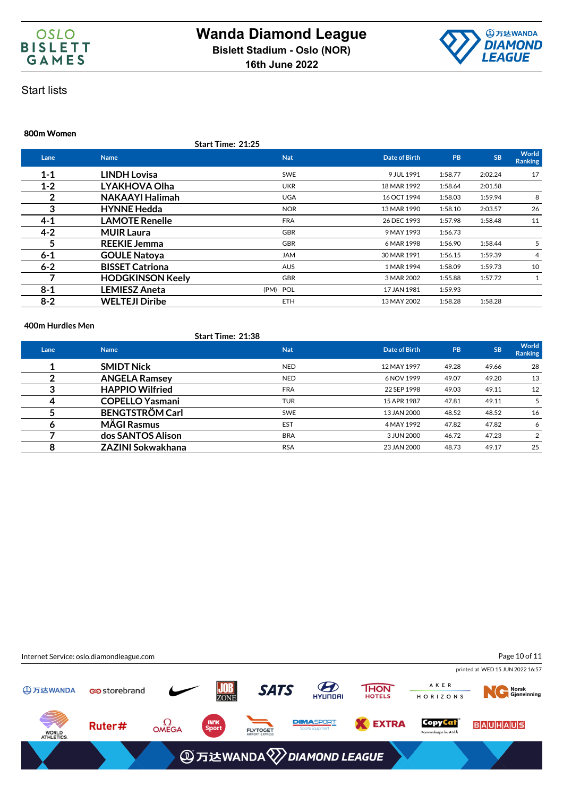



### **800m Women**

**Start Time: 21:25**

| Lane    | <b>Name</b>             | <b>Nat</b> | Date of Birth | PB      | <b>SB</b> | World<br><b>Ranking</b> |
|---------|-------------------------|------------|---------------|---------|-----------|-------------------------|
| $1 - 1$ | <b>LINDH Lovisa</b>     | <b>SWE</b> | 9 JUL 1991    | 1:58.77 | 2:02.24   | 17                      |
| $1 - 2$ | LYAKHOVA Olha           | <b>UKR</b> | 18 MAR 1992   | 1:58.64 | 2:01.58   |                         |
| 2       | <b>NAKAAYI Halimah</b>  | <b>UGA</b> | 16 OCT 1994   | 1:58.03 | 1:59.94   | 8                       |
| 3       | <b>HYNNE Hedda</b>      | <b>NOR</b> | 13 MAR 1990   | 1:58.10 | 2:03.57   | 26                      |
| $4 - 1$ | <b>LAMOTE Renelle</b>   | <b>FRA</b> | 26 DEC 1993   | 1:57.98 | 1:58.48   | 11                      |
| $4 - 2$ | <b>MUIR Laura</b>       | <b>GBR</b> | 9 MAY 1993    | 1:56.73 |           |                         |
| 5       | <b>REEKIE Jemma</b>     | <b>GBR</b> | 6 MAR 1998    | 1:56.90 | 1:58.44   |                         |
| $6 - 1$ | <b>GOULE Natoya</b>     | <b>JAM</b> | 30 MAR 1991   | 1:56.15 | 1:59.39   | 4                       |
| $6 - 2$ | <b>BISSET Catriona</b>  | <b>AUS</b> | 1 MAR 1994    | 1:58.09 | 1:59.73   | 10                      |
|         | <b>HODGKINSON Keely</b> | <b>GBR</b> | 3 MAR 2002    | 1:55.88 | 1:57.72   |                         |
| $8 - 1$ | <b>LEMIESZ Aneta</b>    | (PM) POL   | 17 JAN 1981   | 1:59.93 |           |                         |
| $8 - 2$ | <b>WELTEJI Diribe</b>   | <b>ETH</b> | 13 MAY 2002   | 1:58.28 | 1:58.28   |                         |
|         |                         |            |               |         |           |                         |

### **400m Hurdles Men**

**Start Time: 21:38**

| Lane | <b>Name</b>              | <b>Nat</b> | Date of Birth | <b>PB</b> | <b>SB</b> | World<br><b>Ranking</b> |
|------|--------------------------|------------|---------------|-----------|-----------|-------------------------|
|      | <b>SMIDT Nick</b>        | <b>NED</b> | 12 MAY 1997   | 49.28     | 49.66     | 28                      |
|      | <b>ANGELA Ramsey</b>     | <b>NED</b> | 6 NOV 1999    | 49.07     | 49.20     | 13                      |
|      | <b>HAPPIO Wilfried</b>   | <b>FRA</b> | 22 SEP 1998   | 49.03     | 49.11     | 12                      |
| 4    | <b>COPELLO Yasmani</b>   | <b>TUR</b> | 15 APR 1987   | 47.81     | 49.11     | 5                       |
|      | <b>BENGTSTRÖM Carl</b>   | <b>SWE</b> | 13 JAN 2000   | 48.52     | 48.52     | 16                      |
|      | <b>MÄGI Rasmus</b>       | <b>EST</b> | 4 MAY 1992    | 47.82     | 47.82     | 6                       |
|      | dos SANTOS Alison        | <b>BRA</b> | 3 JUN 2000    | 46.72     | 47.23     | 2                       |
|      | <b>ZAZINI Sokwakhana</b> | <b>RSA</b> | 23 JAN 2000   | 48.73     | 49.17     | 25                      |
|      |                          |            |               |           |           |                         |